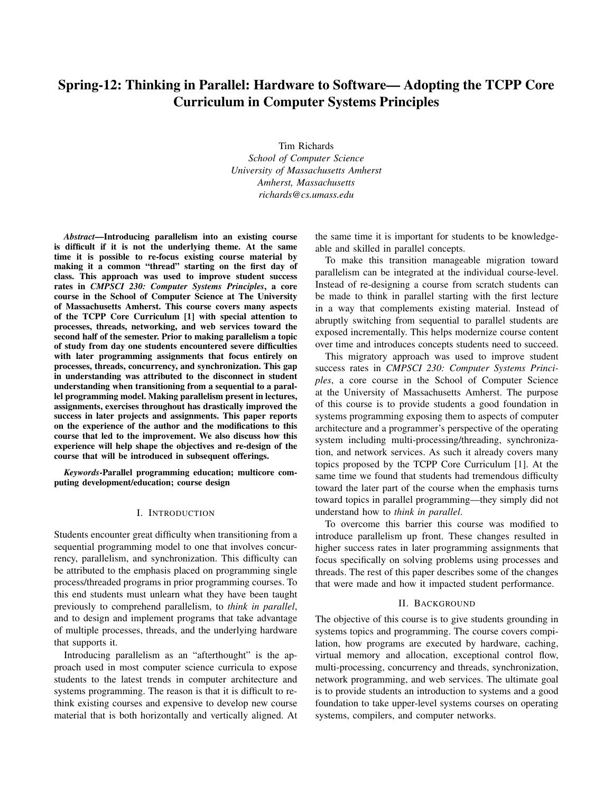# Spring-12: Thinking in Parallel: Hardware to Software— Adopting the TCPP Core Curriculum in Computer Systems Principles

Tim Richards *School of Computer Science University of Massachusetts Amherst Amherst, Massachusetts richards@cs.umass.edu*

*Abstract*—Introducing parallelism into an existing course is difficult if it is not the underlying theme. At the same time it is possible to re-focus existing course material by making it a common "thread" starting on the first day of class. This approach was used to improve student success rates in *CMPSCI 230: Computer Systems Principles*, a core course in the School of Computer Science at The University of Massachusetts Amherst. This course covers many aspects of the TCPP Core Curriculum [1] with special attention to processes, threads, networking, and web services toward the second half of the semester. Prior to making parallelism a topic of study from day one students encountered severe difficulties with later programming assignments that focus entirely on processes, threads, concurrency, and synchronization. This gap in understanding was attributed to the disconnect in student understanding when transitioning from a sequential to a parallel programming model. Making parallelism present in lectures, assignments, exercises throughout has drastically improved the success in later projects and assignments. This paper reports on the experience of the author and the modifications to this course that led to the improvement. We also discuss how this experience will help shape the objectives and re-design of the course that will be introduced in subsequent offerings.

*Keywords*-Parallel programming education; multicore computing development/education; course design

## I. INTRODUCTION

Students encounter great difficulty when transitioning from a sequential programming model to one that involves concurrency, parallelism, and synchronization. This difficulty can be attributed to the emphasis placed on programming single process/threaded programs in prior programming courses. To this end students must unlearn what they have been taught previously to comprehend parallelism, to *think in parallel*, and to design and implement programs that take advantage of multiple processes, threads, and the underlying hardware that supports it.

Introducing parallelism as an "afterthought" is the approach used in most computer science curricula to expose students to the latest trends in computer architecture and systems programming. The reason is that it is difficult to rethink existing courses and expensive to develop new course material that is both horizontally and vertically aligned. At the same time it is important for students to be knowledgeable and skilled in parallel concepts.

To make this transition manageable migration toward parallelism can be integrated at the individual course-level. Instead of re-designing a course from scratch students can be made to think in parallel starting with the first lecture in a way that complements existing material. Instead of abruptly switching from sequential to parallel students are exposed incrementally. This helps modernize course content over time and introduces concepts students need to succeed.

This migratory approach was used to improve student success rates in *CMPSCI 230: Computer Systems Principles*, a core course in the School of Computer Science at the University of Massachusetts Amherst. The purpose of this course is to provide students a good foundation in systems programming exposing them to aspects of computer architecture and a programmer's perspective of the operating system including multi-processing/threading, synchronization, and network services. As such it already covers many topics proposed by the TCPP Core Curriculum [1]. At the same time we found that students had tremendous difficulty toward the later part of the course when the emphasis turns toward topics in parallel programming—they simply did not understand how to *think in parallel*.

To overcome this barrier this course was modified to introduce parallelism up front. These changes resulted in higher success rates in later programming assignments that focus specifically on solving problems using processes and threads. The rest of this paper describes some of the changes that were made and how it impacted student performance.

### II. BACKGROUND

The objective of this course is to give students grounding in systems topics and programming. The course covers compilation, how programs are executed by hardware, caching, virtual memory and allocation, exceptional control flow, multi-processing, concurrency and threads, synchronization, network programming, and web services. The ultimate goal is to provide students an introduction to systems and a good foundation to take upper-level systems courses on operating systems, compilers, and computer networks.